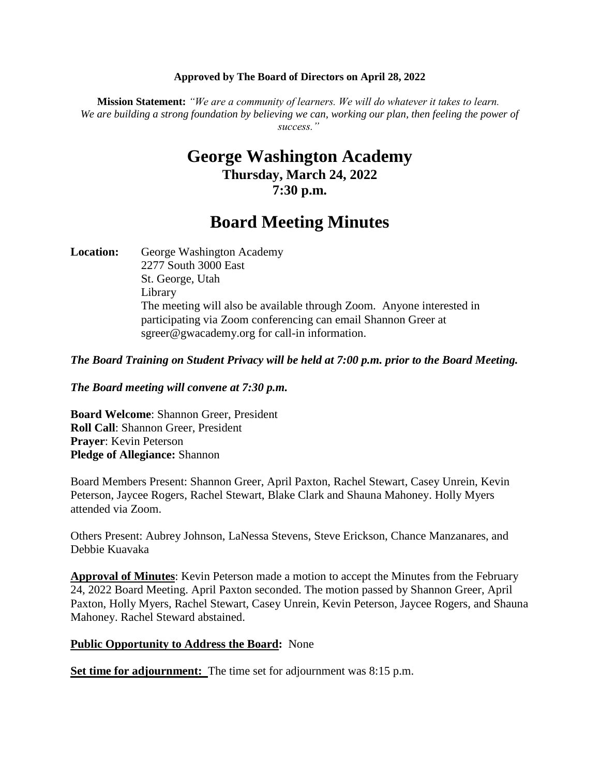#### **Approved by The Board of Directors on April 28, 2022**

**Mission Statement:** *"We are a community of learners. We will do whatever it takes to learn. We are building a strong foundation by believing we can, working our plan, then feeling the power of success."*

# **George Washington Academy Thursday, March 24, 2022 7:30 p.m.**

# **Board Meeting Minutes**

Location: George Washington Academy 2277 South 3000 East St. George, Utah Library The meeting will also be available through Zoom. Anyone interested in participating via Zoom conferencing can email Shannon Greer at sgreer@gwacademy.org for call-in information.

*The Board Training on Student Privacy will be held at 7:00 p.m. prior to the Board Meeting.*

*The Board meeting will convene at 7:30 p.m.*

**Board Welcome**: Shannon Greer, President **Roll Call**: Shannon Greer, President **Prayer**: Kevin Peterson **Pledge of Allegiance:** Shannon

Board Members Present: Shannon Greer, April Paxton, Rachel Stewart, Casey Unrein, Kevin Peterson, Jaycee Rogers, Rachel Stewart, Blake Clark and Shauna Mahoney. Holly Myers attended via Zoom.

Others Present: Aubrey Johnson, LaNessa Stevens, Steve Erickson, Chance Manzanares, and Debbie Kuavaka

**Approval of Minutes**: Kevin Peterson made a motion to accept the Minutes from the February 24, 2022 Board Meeting. April Paxton seconded. The motion passed by Shannon Greer, April Paxton, Holly Myers, Rachel Stewart, Casey Unrein, Kevin Peterson, Jaycee Rogers, and Shauna Mahoney. Rachel Steward abstained.

#### **Public Opportunity to Address the Board:** None

**Set time for adjournment:** The time set for adjournment was 8:15 p.m.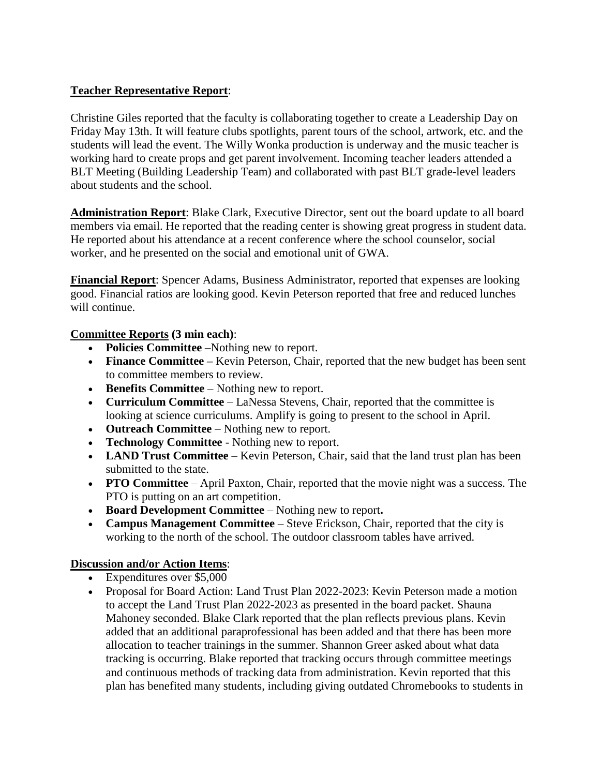### **Teacher Representative Report**:

Christine Giles reported that the faculty is collaborating together to create a Leadership Day on Friday May 13th. It will feature clubs spotlights, parent tours of the school, artwork, etc. and the students will lead the event. The Willy Wonka production is underway and the music teacher is working hard to create props and get parent involvement. Incoming teacher leaders attended a BLT Meeting (Building Leadership Team) and collaborated with past BLT grade-level leaders about students and the school.

**Administration Report**: Blake Clark, Executive Director, sent out the board update to all board members via email. He reported that the reading center is showing great progress in student data. He reported about his attendance at a recent conference where the school counselor, social worker, and he presented on the social and emotional unit of GWA.

**Financial Report**: Spencer Adams, Business Administrator, reported that expenses are looking good. Financial ratios are looking good. Kevin Peterson reported that free and reduced lunches will continue.

## **Committee Reports (3 min each)**:

- **Policies Committee** –Nothing new to report.
- Finance Committee Kevin Peterson, Chair, reported that the new budget has been sent to committee members to review.
- **Benefits Committee** Nothing new to report.
- **Curriculum Committee**  LaNessa Stevens, Chair, reported that the committee is looking at science curriculums. Amplify is going to present to the school in April.
- **Outreach Committee** Nothing new to report.
- **Technology Committee** Nothing new to report.
- LAND Trust Committee Kevin Peterson, Chair, said that the land trust plan has been submitted to the state.
- **PTO Committee** April Paxton, Chair, reported that the movie night was a success. The PTO is putting on an art competition.
- **Board Development Committee**  Nothing new to report**.**
- **Campus Management Committee**  Steve Erickson, Chair, reported that the city is working to the north of the school. The outdoor classroom tables have arrived.

#### **Discussion and/or Action Items**:

- Expenditures over \$5,000
- Proposal for Board Action: Land Trust Plan 2022-2023: Kevin Peterson made a motion to accept the Land Trust Plan 2022-2023 as presented in the board packet. Shauna Mahoney seconded. Blake Clark reported that the plan reflects previous plans. Kevin added that an additional paraprofessional has been added and that there has been more allocation to teacher trainings in the summer. Shannon Greer asked about what data tracking is occurring. Blake reported that tracking occurs through committee meetings and continuous methods of tracking data from administration. Kevin reported that this plan has benefited many students, including giving outdated Chromebooks to students in